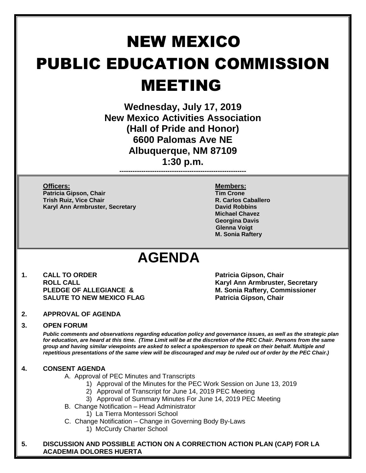# NEW MEXICO PUBLIC EDUCATION COMMISSION MEETING

**Wednesday, July 17, 2019 New Mexico Activities Association (Hall of Pride and Honor) 6600 Palomas Ave NE Albuquerque, NM 87109 1:30 p.m.**

**----------------------------------------------------------**

**Officers: Members: Patricia Gipson, Chair Tim Crone Trish Ruiz, Vice Chair R. Carlos Caballero Karyl Ann Armbruster, Secretary <b>David Robbins David Robbins** 

**Michael Chavez Georgina Davis Glenna Voigt M. Sonia Raftery**

# **AGENDA**

**1. CALL TO ORDER Patricia Gipson, Chair SALUTE TO NEW MEXICO FLAG Patricia Gipson, Chair** 

**ROLL CALL Karyl Ann Armbruster, Secretary PLEDGE OF ALLEGIANCE & M. Sonia Raftery, Commissioner**

**2. APPROVAL OF AGENDA**

## **3. OPEN FORUM**

*Public comments and observations regarding education policy and governance issues, as well as the strategic plan for education, are heard at this time. (Time Limit will be at the discretion of the PEC Chair. Persons from the same group and having similar viewpoints are asked to select a spokesperson to speak on their behalf. Multiple and repetitious presentations of the same view will be discouraged and may be ruled out of order by the PEC Chair.)*

#### **4. CONSENT AGENDA**

- A. Approval of PEC Minutes and Transcripts
	- 1) Approval of the Minutes for the PEC Work Session on June 13, 2019
	- 2) Approval of Transcript for June 14, 2019 PEC Meeting
	- 3) Approval of Summary Minutes For June 14, 2019 PEC Meeting
- B. Change Notification Head Administrator
	- 1) La Tierra Montessori School
- C. Change Notification Change in Governing Body By-Laws
	- 1) McCurdy Charter School

#### **5. DISCUSSION AND POSSIBLE ACTION ON A CORRECTION ACTION PLAN (CAP) FOR LA ACADEMIA DOLORES HUERTA**